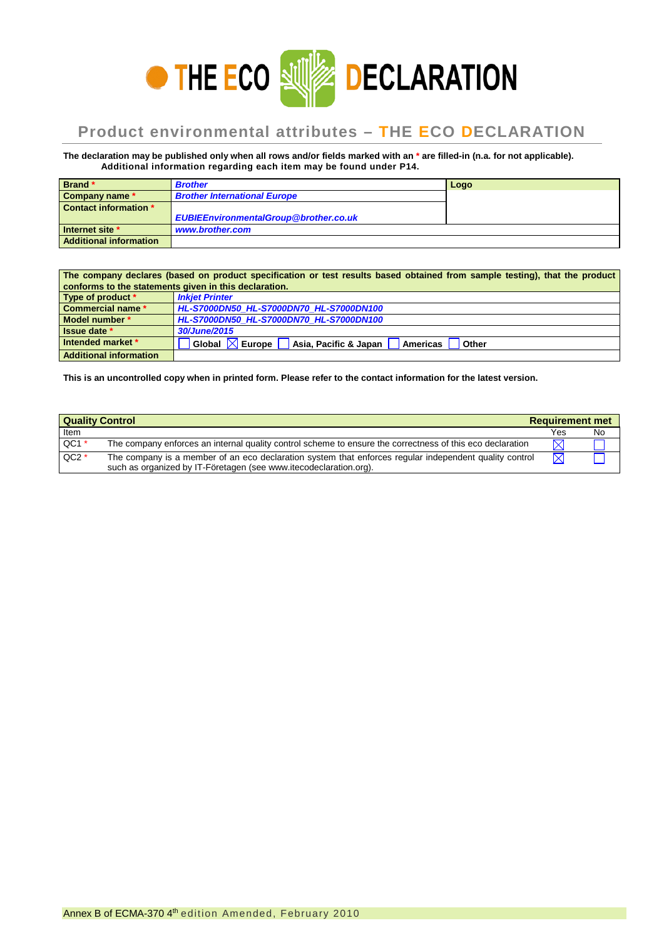

## **Product environmental attributes – THE ECO DECLARATION**

**The declaration may be published only when all rows and/or fields marked with an \* are filled-in (n.a. for not applicable). Additional information regarding each item may be found under P14.**

| Brand*                        | <b>Brother</b>                               | Logo |
|-------------------------------|----------------------------------------------|------|
| Company name *                | <b>Brother International Europe</b>          |      |
| Contact information *         |                                              |      |
|                               | <b>EUBIEEnvironmentalGroup@brother.co.uk</b> |      |
| Internet site *               | www.brother.com                              |      |
| <b>Additional information</b> |                                              |      |

| The company declares (based on product specification or test results based obtained from sample testing), that the product<br>conforms to the statements given in this declaration. |                                                                                      |  |  |  |
|-------------------------------------------------------------------------------------------------------------------------------------------------------------------------------------|--------------------------------------------------------------------------------------|--|--|--|
| Type of product *                                                                                                                                                                   | <b>Inkiet Printer</b>                                                                |  |  |  |
| <b>Commercial name *</b>                                                                                                                                                            | HL-S7000DN50 HL-S7000DN70 HL-S7000DN100                                              |  |  |  |
| Model number *                                                                                                                                                                      | HL-S7000DN50 HL-S7000DN70 HL-S7000DN100                                              |  |  |  |
| Issue date *                                                                                                                                                                        | 30/June/2015                                                                         |  |  |  |
| Intended market *                                                                                                                                                                   | Global $\left[\boxtimes\right]$ Europe<br>Asia, Pacific & Japan<br>Americas<br>Other |  |  |  |
| <b>Additional information</b>                                                                                                                                                       |                                                                                      |  |  |  |

**This is an uncontrolled copy when in printed form. Please refer to the contact information for the latest version.**

| <b>Quality Control</b> |                                                                                                                                                                             |             | <b>Requirement met</b> |
|------------------------|-----------------------------------------------------------------------------------------------------------------------------------------------------------------------------|-------------|------------------------|
| Item                   |                                                                                                                                                                             | Yes         | No                     |
| $QC1*$                 | The company enforces an internal quality control scheme to ensure the correctness of this eco declaration                                                                   | $\boxtimes$ |                        |
| $QC2*$                 | The company is a member of an eco declaration system that enforces regular independent quality control<br>such as organized by IT-Företagen (see www.itecodeclaration.org). | $\boxtimes$ |                        |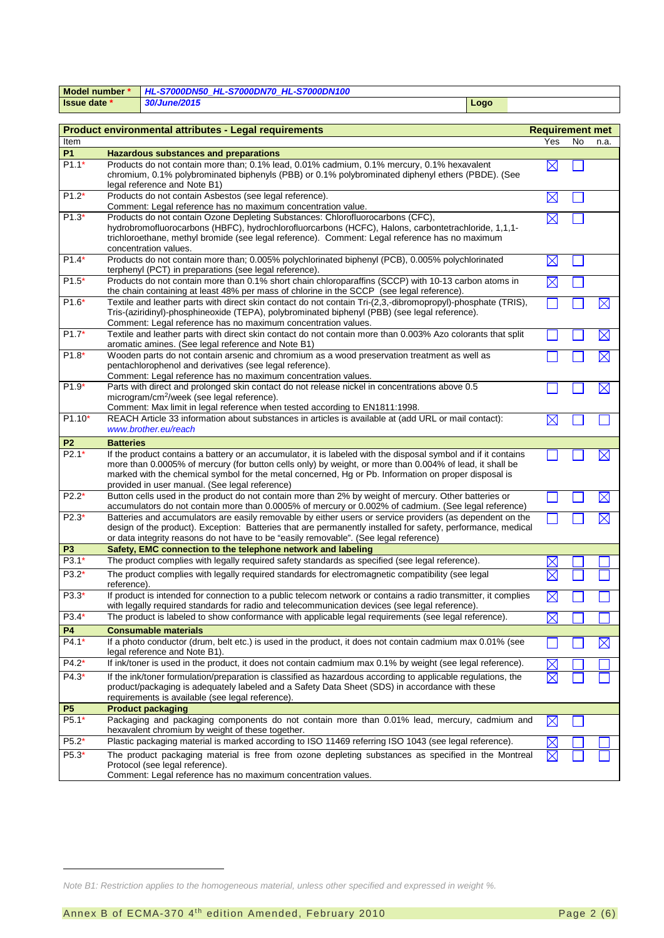| Model number *      | HL-S7000DN50 HL-S7000DN70 HL-S7000DN100 |      |  |
|---------------------|-----------------------------------------|------|--|
| <b>Issue date</b> * | 30/June/2015                            | Logo |  |

| Product environmental attributes - Legal requirements | <b>Requirement met</b>                                                                                                                                                                                                                                                                                             |             |    |             |
|-------------------------------------------------------|--------------------------------------------------------------------------------------------------------------------------------------------------------------------------------------------------------------------------------------------------------------------------------------------------------------------|-------------|----|-------------|
| Item                                                  |                                                                                                                                                                                                                                                                                                                    | Yes         | No | n.a.        |
| <b>P1</b>                                             | <b>Hazardous substances and preparations</b>                                                                                                                                                                                                                                                                       |             |    |             |
| $P1.1*$                                               | Products do not contain more than; 0.1% lead, 0.01% cadmium, 0.1% mercury, 0.1% hexavalent<br>chromium, 0.1% polybrominated biphenyls (PBB) or 0.1% polybrominated diphenyl ethers (PBDE). (See<br>legal reference and Note B1)                                                                                    | $\boxtimes$ |    |             |
| $P1.2*$                                               | Products do not contain Asbestos (see legal reference).<br>Comment: Legal reference has no maximum concentration value.                                                                                                                                                                                            | Х           |    |             |
| $P1.3*$                                               | Products do not contain Ozone Depleting Substances: Chlorofluorocarbons (CFC),                                                                                                                                                                                                                                     | $\boxtimes$ |    |             |
|                                                       | hydrobromofluorocarbons (HBFC), hydrochlorofluorcarbons (HCFC), Halons, carbontetrachloride, 1,1,1-                                                                                                                                                                                                                |             |    |             |
|                                                       | trichloroethane, methyl bromide (see legal reference). Comment: Legal reference has no maximum<br>concentration values.                                                                                                                                                                                            |             |    |             |
| $P1.4*$                                               | Products do not contain more than; 0.005% polychlorinated biphenyl (PCB), 0.005% polychlorinated<br>terphenyl (PCT) in preparations (see legal reference).                                                                                                                                                         | $\boxtimes$ |    |             |
| $P1.5*$                                               | Products do not contain more than 0.1% short chain chloroparaffins (SCCP) with 10-13 carbon atoms in<br>the chain containing at least 48% per mass of chlorine in the SCCP (see legal reference).                                                                                                                  | $\boxtimes$ |    |             |
| $P1.6*$                                               | Textile and leather parts with direct skin contact do not contain Tri-(2,3,-dibromopropyl)-phosphate (TRIS),                                                                                                                                                                                                       |             |    | $\boxtimes$ |
|                                                       | Tris-(aziridinyl)-phosphineoxide (TEPA), polybrominated biphenyl (PBB) (see legal reference).                                                                                                                                                                                                                      |             |    |             |
|                                                       | Comment: Legal reference has no maximum concentration values.                                                                                                                                                                                                                                                      |             |    |             |
| $P1.7*$                                               | Textile and leather parts with direct skin contact do not contain more than 0.003% Azo colorants that split<br>aromatic amines. (See legal reference and Note B1)                                                                                                                                                  |             |    | $\boxtimes$ |
| $P1.8*$                                               | Wooden parts do not contain arsenic and chromium as a wood preservation treatment as well as                                                                                                                                                                                                                       |             |    | $\boxtimes$ |
|                                                       | pentachlorophenol and derivatives (see legal reference).                                                                                                                                                                                                                                                           |             |    |             |
|                                                       | Comment: Legal reference has no maximum concentration values.                                                                                                                                                                                                                                                      |             |    |             |
| $P1.9*$                                               | Parts with direct and prolonged skin contact do not release nickel in concentrations above 0.5                                                                                                                                                                                                                     |             |    | $\boxtimes$ |
|                                                       | microgram/cm <sup>2</sup> /week (see legal reference).                                                                                                                                                                                                                                                             |             |    |             |
| $P1.10*$                                              | Comment: Max limit in legal reference when tested according to EN1811:1998.<br>REACH Article 33 information about substances in articles is available at (add URL or mail contact):                                                                                                                                | $\boxtimes$ |    |             |
|                                                       | www.brother.eu/reach                                                                                                                                                                                                                                                                                               |             |    |             |
| P <sub>2</sub>                                        | <b>Batteries</b>                                                                                                                                                                                                                                                                                                   |             |    |             |
| $P2.1*$                                               | If the product contains a battery or an accumulator, it is labeled with the disposal symbol and if it contains                                                                                                                                                                                                     |             |    | $\bowtie$   |
|                                                       | more than 0.0005% of mercury (for button cells only) by weight, or more than 0.004% of lead, it shall be                                                                                                                                                                                                           |             |    |             |
|                                                       | marked with the chemical symbol for the metal concerned, Hg or Pb. Information on proper disposal is<br>provided in user manual. (See legal reference)                                                                                                                                                             |             |    |             |
| $P2.2*$                                               | Button cells used in the product do not contain more than 2% by weight of mercury. Other batteries or                                                                                                                                                                                                              |             |    | $\boxtimes$ |
|                                                       | accumulators do not contain more than 0.0005% of mercury or 0.002% of cadmium. (See legal reference)                                                                                                                                                                                                               |             |    |             |
| $P2.3*$                                               | Batteries and accumulators are easily removable by either users or service providers (as dependent on the<br>design of the product). Exception: Batteries that are permanently installed for safety, performance, medical<br>or data integrity reasons do not have to be "easily removable". (See legal reference) |             |    | $\boxtimes$ |
| P <sub>3</sub>                                        | Safety, EMC connection to the telephone network and labeling                                                                                                                                                                                                                                                       |             |    |             |
| P3.1*                                                 | The product complies with legally required safety standards as specified (see legal reference).                                                                                                                                                                                                                    |             |    |             |
| P3.2*                                                 | The product complies with legally required standards for electromagnetic compatibility (see legal<br>reference).                                                                                                                                                                                                   |             |    |             |
| $P3.3*$                                               | If product is intended for connection to a public telecom network or contains a radio transmitter, it complies<br>with legally required standards for radio and telecommunication devices (see legal reference).                                                                                                   | $\times$    |    |             |
| P3.4*                                                 | The product is labeled to show conformance with applicable legal requirements (see legal reference).                                                                                                                                                                                                               |             |    |             |
| <b>P4</b>                                             | <b>Consumable materials</b>                                                                                                                                                                                                                                                                                        |             |    |             |
| P4.1*                                                 | If a photo conductor (drum, belt etc.) is used in the product, it does not contain cadmium max 0.01% (see<br>legal reference and Note B1).                                                                                                                                                                         |             |    | $\boxtimes$ |
| P4.2*                                                 | If ink/toner is used in the product, it does not contain cadmium max 0.1% by weight (see legal reference).                                                                                                                                                                                                         |             |    |             |
| $P4.3*$                                               | If the ink/toner formulation/preparation is classified as hazardous according to applicable regulations, the<br>product/packaging is adequately labeled and a Safety Data Sheet (SDS) in accordance with these                                                                                                     | $\times$    |    |             |
|                                                       | requirements is available (see legal reference).                                                                                                                                                                                                                                                                   |             |    |             |
| P <sub>5</sub>                                        | <b>Product packaging</b>                                                                                                                                                                                                                                                                                           |             |    |             |
| P5.1*                                                 | Packaging and packaging components do not contain more than 0.01% lead, mercury, cadmium and<br>hexavalent chromium by weight of these together.                                                                                                                                                                   | $\boxtimes$ |    |             |
| $P5.2*$                                               | Plastic packaging material is marked according to ISO 11469 referring ISO 1043 (see legal reference).                                                                                                                                                                                                              |             |    |             |
| P5.3*                                                 | The product packaging material is free from ozone depleting substances as specified in the Montreal<br>Protocol (see legal reference).<br>Comment: Legal reference has no maximum concentration values.                                                                                                            |             |    |             |
|                                                       |                                                                                                                                                                                                                                                                                                                    |             |    |             |

j

<span id="page-1-0"></span>*Note B1: Restriction applies to the homogeneous material, unless other specified and expressed in weight %.*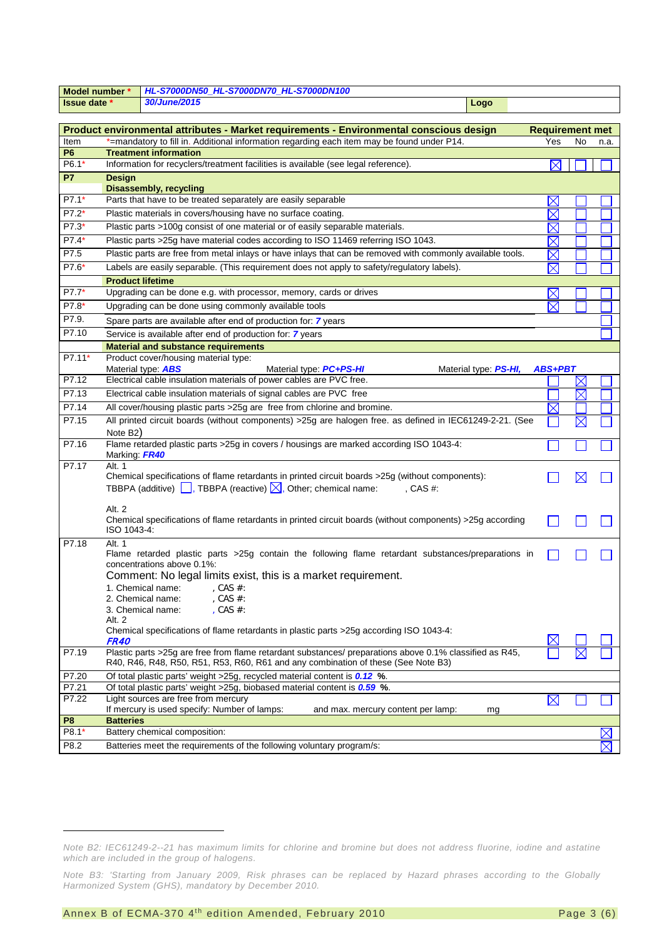| Model number *<br>HL-S7000DN50_HL-S7000DN70_HL-S7000DN100 |                                                                                                                                   |                                                                                                                                                                                                   |                      |                      |             |             |  |
|-----------------------------------------------------------|-----------------------------------------------------------------------------------------------------------------------------------|---------------------------------------------------------------------------------------------------------------------------------------------------------------------------------------------------|----------------------|----------------------|-------------|-------------|--|
| Issue date *                                              |                                                                                                                                   | 30/June/2015<br>Logo                                                                                                                                                                              |                      |                      |             |             |  |
|                                                           |                                                                                                                                   |                                                                                                                                                                                                   |                      |                      |             |             |  |
|                                                           | Product environmental attributes - Market requirements - Environmental conscious design<br><b>Requirement met</b>                 |                                                                                                                                                                                                   |                      |                      |             |             |  |
| Item                                                      |                                                                                                                                   | *=mandatory to fill in. Additional information regarding each item may be found under P14.                                                                                                        |                      | Yes                  | No          | n.a.        |  |
| P <sub>6</sub>                                            |                                                                                                                                   |                                                                                                                                                                                                   |                      |                      |             |             |  |
| P6.1*                                                     | <b>Treatment information</b><br>Information for recyclers/treatment facilities is available (see legal reference).<br>$\boxtimes$ |                                                                                                                                                                                                   |                      |                      |             |             |  |
|                                                           |                                                                                                                                   |                                                                                                                                                                                                   |                      |                      |             |             |  |
| <b>P7</b>                                                 | <b>Design</b>                                                                                                                     | <b>Disassembly, recycling</b>                                                                                                                                                                     |                      |                      |             |             |  |
| $P7.1*$                                                   | Parts that have to be treated separately are easily separable                                                                     |                                                                                                                                                                                                   |                      |                      |             |             |  |
| $P7.2*$                                                   |                                                                                                                                   | Plastic materials in covers/housing have no surface coating.                                                                                                                                      |                      | $\times$<br>$\times$ |             |             |  |
| P7.3*                                                     | Plastic parts >100g consist of one material or of easily separable materials.                                                     |                                                                                                                                                                                                   |                      |                      |             |             |  |
| P7.4*                                                     |                                                                                                                                   |                                                                                                                                                                                                   |                      | $\times$             |             |             |  |
|                                                           |                                                                                                                                   | Plastic parts >25g have material codes according to ISO 11469 referring ISO 1043.                                                                                                                 |                      | $\times$             |             |             |  |
| P7.5                                                      |                                                                                                                                   | Plastic parts are free from metal inlays or have inlays that can be removed with commonly available tools.                                                                                        |                      | $\boxtimes$          |             |             |  |
| P7.6*                                                     |                                                                                                                                   | Labels are easily separable. (This requirement does not apply to safety/regulatory labels).                                                                                                       |                      | $\boxtimes$          |             |             |  |
|                                                           | <b>Product lifetime</b>                                                                                                           |                                                                                                                                                                                                   |                      |                      |             |             |  |
| $P7.7*$                                                   |                                                                                                                                   | Upgrading can be done e.g. with processor, memory, cards or drives                                                                                                                                |                      | $\times$             |             |             |  |
| P7.8*                                                     |                                                                                                                                   | Upgrading can be done using commonly available tools                                                                                                                                              |                      | $\times$             |             |             |  |
| P7.9.                                                     |                                                                                                                                   | Spare parts are available after end of production for: 7 years                                                                                                                                    |                      |                      |             |             |  |
| P7.10                                                     |                                                                                                                                   | Service is available after end of production for: 7 years                                                                                                                                         |                      |                      |             |             |  |
|                                                           |                                                                                                                                   | <b>Material and substance requirements</b>                                                                                                                                                        |                      |                      |             |             |  |
| P7.11*                                                    |                                                                                                                                   | Product cover/housing material type:                                                                                                                                                              |                      |                      |             |             |  |
|                                                           |                                                                                                                                   | Material type: <b>ABS</b><br>Material type: PC+PS-HI                                                                                                                                              | Material type PS-HI, | ABS+PBT              |             |             |  |
| P7.12                                                     |                                                                                                                                   | Electrical cable insulation materials of power cables are PVC free.                                                                                                                               |                      |                      | $\boxtimes$ |             |  |
| P7.13                                                     |                                                                                                                                   | Electrical cable insulation materials of signal cables are PVC free                                                                                                                               |                      |                      | $\boxtimes$ |             |  |
| P7.14                                                     |                                                                                                                                   | All cover/housing plastic parts >25g are free from chlorine and bromine.                                                                                                                          |                      | $\times$             |             |             |  |
| P7.15                                                     |                                                                                                                                   | All printed circuit boards (without components) > 25g are halogen free. as defined in IEC61249-2-21. (See                                                                                         |                      |                      |             |             |  |
|                                                           | Note B <sub>2</sub> )                                                                                                             |                                                                                                                                                                                                   |                      |                      |             |             |  |
| P7.16                                                     | Marking: FR40                                                                                                                     | Flame retarded plastic parts > 25g in covers / housings are marked according ISO 1043-4:                                                                                                          |                      |                      |             |             |  |
| P7.17                                                     | Alt. 1                                                                                                                            | Chemical specifications of flame retardants in printed circuit boards >25g (without components):<br>TBBPA (additive) $\Box$ , TBBPA (reactive) $\Box$ , Other; chemical name:<br>, CAS $#$ :      |                      |                      |             |             |  |
|                                                           | Alt. 2<br>ISO 1043-4:                                                                                                             | Chemical specifications of flame retardants in printed circuit boards (without components) >25g according                                                                                         |                      |                      |             |             |  |
| P7.18                                                     | Alt. 1                                                                                                                            | Flame retarded plastic parts >25g contain the following flame retardant substances/preparations in<br>concentrations above 0.1%:<br>Comment: No legal limits exist, this is a market requirement. |                      |                      |             |             |  |
|                                                           | Alt. 2                                                                                                                            | , CAS #:<br>1. Chemical name:<br>, CAS $#$ :<br>2. Chemical name:<br>3. Chemical name:<br>, CAS $#$ :<br>Chemical specifications of flame retardants in plastic parts >25g according ISO 1043-4:  |                      |                      |             |             |  |
|                                                           | <i><b>FR40</b></i>                                                                                                                |                                                                                                                                                                                                   |                      |                      |             |             |  |
| P7.19                                                     |                                                                                                                                   | Plastic parts >25g are free from flame retardant substances/ preparations above 0.1% classified as R45,<br>R40, R46, R48, R50, R51, R53, R60, R61 and any combination of these (See Note B3)      |                      |                      |             |             |  |
| P7.20                                                     |                                                                                                                                   | Of total plastic parts' weight >25g, recycled material content is 0.12 %.                                                                                                                         |                      |                      |             |             |  |
| P7.21                                                     |                                                                                                                                   | Of total plastic parts' weight >25g, biobased material content is 0.59 %.                                                                                                                         |                      |                      |             |             |  |
| P7.22                                                     | Light sources are free from mercury<br>$\boxtimes$                                                                                |                                                                                                                                                                                                   |                      |                      |             |             |  |
|                                                           |                                                                                                                                   | If mercury is used specify: Number of lamps:<br>and max. mercury content per lamp:                                                                                                                | mg                   |                      |             |             |  |
| P <sub>8</sub>                                            | <b>Batteries</b>                                                                                                                  |                                                                                                                                                                                                   |                      |                      |             |             |  |
| P8.1*                                                     |                                                                                                                                   | Battery chemical composition:                                                                                                                                                                     |                      |                      |             | $\boxtimes$ |  |
| P8.2                                                      |                                                                                                                                   | Batteries meet the requirements of the following voluntary program/s:                                                                                                                             |                      |                      |             | $\boxtimes$ |  |

j

<span id="page-2-0"></span>*Note B2: IEC61249-2--21 has maximum limits for chlorine and bromine but does not address fluorine, iodine and astatine which are included in the group of halogens.* 

*Note B3: 'Starting from January 2009, Risk phrases can be replaced by Hazard phrases according to the Globally Harmonized System (GHS), mandatory by December 2010.*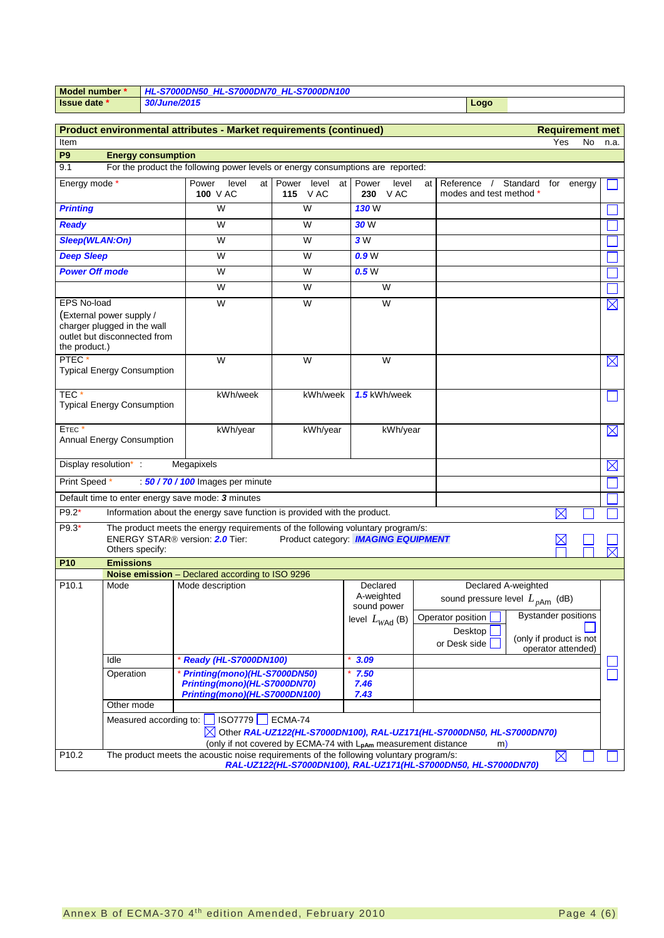|                                                                                                          | HL-S7000DN50 HL-S7000DN70 HL-S7000DN100<br>Model number *                                                                                                                 |                           |                                                                                               |                                                                            |                                       |      |                                                    |                     |                            |             |
|----------------------------------------------------------------------------------------------------------|---------------------------------------------------------------------------------------------------------------------------------------------------------------------------|---------------------------|-----------------------------------------------------------------------------------------------|----------------------------------------------------------------------------|---------------------------------------|------|----------------------------------------------------|---------------------|----------------------------|-------------|
| <b>Issue date *</b>                                                                                      |                                                                                                                                                                           | 30/June/2015              |                                                                                               |                                                                            |                                       |      | Logo                                               |                     |                            |             |
|                                                                                                          |                                                                                                                                                                           |                           |                                                                                               |                                                                            |                                       |      |                                                    |                     |                            |             |
|                                                                                                          |                                                                                                                                                                           |                           | Product environmental attributes - Market requirements (continued)                            |                                                                            |                                       |      |                                                    |                     | <b>Requirement met</b>     |             |
| Item<br>P <sub>9</sub>                                                                                   |                                                                                                                                                                           | <b>Energy consumption</b> |                                                                                               |                                                                            |                                       |      |                                                    |                     | Yes                        | No<br>n.a.  |
| 9.1                                                                                                      |                                                                                                                                                                           |                           | For the product the following power levels or energy consumptions are reported:               |                                                                            |                                       |      |                                                    |                     |                            |             |
|                                                                                                          |                                                                                                                                                                           |                           |                                                                                               |                                                                            |                                       |      |                                                    |                     |                            |             |
| Energy mode *                                                                                            |                                                                                                                                                                           |                           | Power<br>level<br>at<br>100 V AC                                                              | Power<br>level<br>at<br>115 V AC                                           | Power<br>level<br>230 VAC             | at I | Reference<br>$\sqrt{2}$<br>modes and test method * | Standard            | for<br>energy              |             |
| <b>Printing</b>                                                                                          |                                                                                                                                                                           |                           | W                                                                                             | W                                                                          | <b>130 W</b>                          |      |                                                    |                     |                            |             |
| <b>Ready</b>                                                                                             |                                                                                                                                                                           |                           | W                                                                                             | W                                                                          | 30W                                   |      |                                                    |                     |                            |             |
| Sleep(WLAN:On)                                                                                           |                                                                                                                                                                           |                           | W                                                                                             | W                                                                          | 3W                                    |      |                                                    |                     |                            |             |
| <b>Deep Sleep</b>                                                                                        |                                                                                                                                                                           |                           | W                                                                                             | W                                                                          | 0.9W                                  |      |                                                    |                     |                            |             |
| <b>Power Off mode</b>                                                                                    |                                                                                                                                                                           |                           | W                                                                                             | W                                                                          | 0.5W                                  |      |                                                    |                     |                            |             |
|                                                                                                          |                                                                                                                                                                           |                           | W                                                                                             | W                                                                          | W                                     |      |                                                    |                     |                            |             |
| <b>EPS No-load</b>                                                                                       |                                                                                                                                                                           |                           | W                                                                                             | W                                                                          | W                                     |      |                                                    |                     |                            | $\boxtimes$ |
| (External power supply /<br>charger plugged in the wall<br>outlet but disconnected from<br>the product.) |                                                                                                                                                                           |                           |                                                                                               |                                                                            |                                       |      |                                                    |                     |                            |             |
| PTEC <sup>*</sup><br><b>Typical Energy Consumption</b>                                                   |                                                                                                                                                                           |                           | W                                                                                             | W                                                                          | W                                     |      |                                                    |                     |                            | $\boxtimes$ |
| TEC*<br><b>Typical Energy Consumption</b>                                                                |                                                                                                                                                                           |                           | kWh/week                                                                                      | kWh/week                                                                   | 1.5 kWh/week                          |      |                                                    |                     |                            |             |
| ETEC <sup>*</sup><br>Annual Energy Consumption                                                           |                                                                                                                                                                           |                           | kWh/year                                                                                      | kWh/year                                                                   | kWh/year                              |      |                                                    |                     |                            | $\boxtimes$ |
| Display resolution*:                                                                                     |                                                                                                                                                                           |                           | Megapixels                                                                                    |                                                                            |                                       |      |                                                    |                     |                            | $\boxtimes$ |
| Print Speed *                                                                                            |                                                                                                                                                                           |                           | 50 / 70 / 100 Images per minute                                                               |                                                                            |                                       |      |                                                    |                     |                            |             |
|                                                                                                          |                                                                                                                                                                           |                           | Default time to enter energy save mode: 3 minutes                                             |                                                                            |                                       |      |                                                    |                     |                            |             |
| $P9.2*$                                                                                                  |                                                                                                                                                                           |                           | Information about the energy save function is provided with the product.                      |                                                                            |                                       |      |                                                    |                     | $\boxtimes$                |             |
| P9.3*                                                                                                    |                                                                                                                                                                           |                           | The product meets the energy requirements of the following voluntary program/s:               |                                                                            |                                       |      |                                                    |                     |                            |             |
|                                                                                                          |                                                                                                                                                                           |                           | ENERGY STAR® version: 2.0 Tier:                                                               | Product category: <b>IMAGING EQUIPMENT</b>                                 |                                       |      |                                                    |                     |                            |             |
| P <sub>10</sub>                                                                                          | Others specify:<br><b>Emissions</b>                                                                                                                                       |                           |                                                                                               |                                                                            |                                       |      |                                                    |                     |                            |             |
|                                                                                                          |                                                                                                                                                                           |                           | Noise emission - Declared according to ISO 9296                                               |                                                                            |                                       |      |                                                    |                     |                            |             |
| P <sub>10.1</sub>                                                                                        | Mode                                                                                                                                                                      |                           | Mode description                                                                              |                                                                            | Declared<br>A-weighted<br>sound power |      | sound pressure level $L_{pAm}$ (dB)                | Declared A-weighted |                            |             |
|                                                                                                          |                                                                                                                                                                           |                           |                                                                                               |                                                                            | level $L_{W\text{Ad}}$ (B)            |      | Operator position                                  |                     | <b>Bystander positions</b> |             |
|                                                                                                          |                                                                                                                                                                           |                           |                                                                                               |                                                                            |                                       |      | Desktop<br>or Desk side                            |                     | (only if product is not    |             |
|                                                                                                          | Idle                                                                                                                                                                      |                           | <b>Ready (HL-S7000DN100)</b>                                                                  |                                                                            | 3.09                                  |      |                                                    |                     | operator attended)         |             |
|                                                                                                          | Operation                                                                                                                                                                 |                           | Printing(mono)(HL-S7000DN50)<br>Printing(mono)(HL-S7000DN70)<br>Printing(mono)(HL-S7000DN100) |                                                                            | 7.50<br>7.46<br>7.43                  |      |                                                    |                     |                            |             |
|                                                                                                          | Other mode                                                                                                                                                                |                           |                                                                                               |                                                                            |                                       |      |                                                    |                     |                            |             |
|                                                                                                          |                                                                                                                                                                           | Measured according to:    | ISO7779 BCMA-74                                                                               | △ Other RAL-UZ122(HL-S7000DN100), RAL-UZ171(HL-S7000DN50, HL-S7000DN70)    |                                       |      |                                                    |                     |                            |             |
| P <sub>10.2</sub>                                                                                        |                                                                                                                                                                           |                           |                                                                                               | (only if not covered by ECMA-74 with L <sub>pAm</sub> measurement distance |                                       |      | m)                                                 |                     |                            |             |
|                                                                                                          | The product meets the acoustic noise requirements of the following voluntary program/s:<br>$\boxtimes$<br>RAL-UZ122(HL-S7000DN100), RAL-UZ171(HL-S7000DN50, HL-S7000DN70) |                           |                                                                                               |                                                                            |                                       |      |                                                    |                     |                            |             |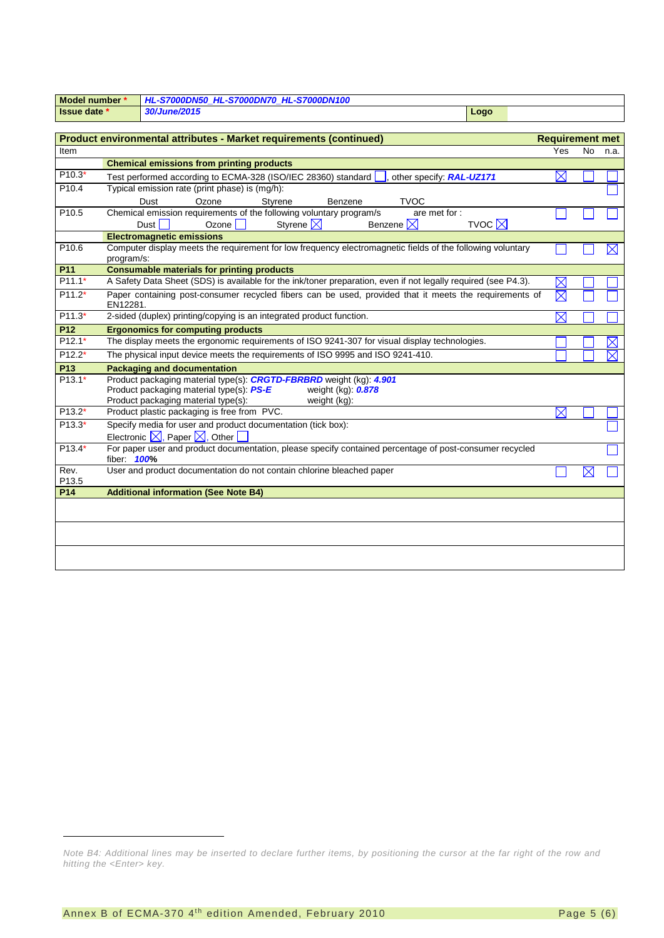| Model number *      |                                                | HL-S7000DN50_HL-S7000DN70_HL-S7000DN100                                                                                                                                                             |               |                        |    |          |
|---------------------|------------------------------------------------|-----------------------------------------------------------------------------------------------------------------------------------------------------------------------------------------------------|---------------|------------------------|----|----------|
| <b>Issue date *</b> |                                                | 30/June/2015                                                                                                                                                                                        | Logo          |                        |    |          |
|                     |                                                |                                                                                                                                                                                                     |               |                        |    |          |
|                     |                                                | Product environmental attributes - Market requirements (continued)                                                                                                                                  |               | <b>Requirement met</b> |    |          |
| Item                |                                                |                                                                                                                                                                                                     |               | Yes                    | No | n.a.     |
|                     |                                                | <b>Chemical emissions from printing products</b>                                                                                                                                                    |               |                        |    |          |
| P10.3*              |                                                | Test performed according to ECMA-328 (ISO/IEC 28360) standard<br>other specify: RAL-UZ171                                                                                                           |               | $\boxtimes$            |    |          |
| P10.4               | Typical emission rate (print phase) is (mg/h): |                                                                                                                                                                                                     |               |                        |    |          |
|                     |                                                | Ozone<br>Styrene<br>Dust<br>Benzene<br><b>TVOC</b>                                                                                                                                                  |               |                        |    |          |
| P <sub>10.5</sub>   |                                                | Chemical emission requirements of the following voluntary program/s<br>are met for :                                                                                                                |               |                        |    |          |
|                     |                                                | Styrene $\nabla$<br>Benzene $\times$<br>Dust  <br>Ozone                                                                                                                                             | TVOC $\nabla$ |                        |    |          |
| P10.6               |                                                | <b>Electromagnetic emissions</b><br>Computer display meets the requirement for low frequency electromagnetic fields of the following voluntary                                                      |               |                        |    |          |
|                     | program/s:                                     |                                                                                                                                                                                                     |               |                        |    | $\times$ |
| P <sub>11</sub>     |                                                | <b>Consumable materials for printing products</b>                                                                                                                                                   |               |                        |    |          |
| $P11.1*$            |                                                | A Safety Data Sheet (SDS) is available for the ink/toner preparation, even if not legally required (see P4.3).                                                                                      |               | $\boxtimes$            |    |          |
| $P11.2*$            | EN12281.                                       | Paper containing post-consumer recycled fibers can be used, provided that it meets the requirements of                                                                                              |               | $\boxtimes$            |    |          |
| $P11.3*$            |                                                | 2-sided (duplex) printing/copying is an integrated product function.                                                                                                                                |               | $\boxtimes$            |    |          |
| P12                 |                                                | <b>Ergonomics for computing products</b>                                                                                                                                                            |               |                        |    |          |
| $P12.1*$            |                                                | The display meets the ergonomic requirements of ISO 9241-307 for visual display technologies.                                                                                                       |               |                        |    |          |
| $P12.2*$            |                                                | The physical input device meets the requirements of ISO 9995 and ISO 9241-410.                                                                                                                      |               |                        |    |          |
| P <sub>13</sub>     |                                                | <b>Packaging and documentation</b>                                                                                                                                                                  |               |                        |    |          |
| $P13.1*$            |                                                | Product packaging material type(s): <b>CRGTD-FBRBRD</b> weight (kg): 4.901<br>Product packaging material type(s): PS-E<br>weight (kg): 0.878<br>Product packaging material type(s):<br>weight (kg): |               |                        |    |          |
| $P13.2*$            |                                                | Product plastic packaging is free from PVC.                                                                                                                                                         |               | $\boxtimes$            |    |          |
| $P13.3*$            |                                                | Specify media for user and product documentation (tick box):<br>Electronic $\boxtimes$ , Paper $\boxtimes$ , Other                                                                                  |               |                        |    |          |
| $P13.4*$            | fiber: <b>100%</b>                             | For paper user and product documentation, please specify contained percentage of post-consumer recycled                                                                                             |               |                        |    |          |
| Rev.<br>P13.5       |                                                | User and product documentation do not contain chlorine bleached paper                                                                                                                               |               |                        | Х  |          |
| P <sub>14</sub>     |                                                | <b>Additional information (See Note B4)</b>                                                                                                                                                         |               |                        |    |          |
|                     |                                                |                                                                                                                                                                                                     |               |                        |    |          |
|                     |                                                |                                                                                                                                                                                                     |               |                        |    |          |
|                     |                                                |                                                                                                                                                                                                     |               |                        |    |          |
|                     |                                                |                                                                                                                                                                                                     |               |                        |    |          |
|                     |                                                |                                                                                                                                                                                                     |               |                        |    |          |
|                     |                                                |                                                                                                                                                                                                     |               |                        |    |          |

-

<span id="page-4-0"></span>*Note B4: Additional lines may be inserted to declare further items, by positioning the cursor at the far right of the row and hitting the <Enter> key.*